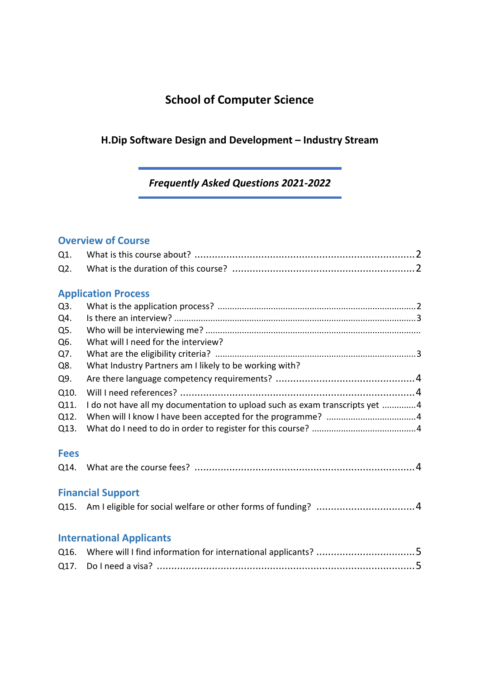# **School of Computer Science**

## **H.Dip Software Design and Development – Industry Stream**

## *Frequently Asked Questions 2021-2022*

## **Overview of Course**

| Q1.                             |                                                                             |
|---------------------------------|-----------------------------------------------------------------------------|
| Q2.                             |                                                                             |
|                                 |                                                                             |
| <b>Application Process</b>      |                                                                             |
| Q3.                             |                                                                             |
| Q4.                             |                                                                             |
| Q5.                             |                                                                             |
| Q6.                             | What will I need for the interview?                                         |
| Q7.                             |                                                                             |
| Q8.                             | What Industry Partners am I likely to be working with?                      |
| Q9.                             |                                                                             |
| Q10.                            |                                                                             |
| Q11.                            | I do not have all my documentation to upload such as exam transcripts yet 4 |
| Q12.                            |                                                                             |
| Q13.                            |                                                                             |
|                                 |                                                                             |
| <b>Fees</b>                     |                                                                             |
| Q14.                            |                                                                             |
|                                 |                                                                             |
| <b>Financial Support</b>        |                                                                             |
|                                 | Q15. Am I eligible for social welfare or other forms of funding? 4          |
|                                 |                                                                             |
|                                 |                                                                             |
| <b>International Applicants</b> |                                                                             |
| Q16.                            |                                                                             |
| Q17.                            |                                                                             |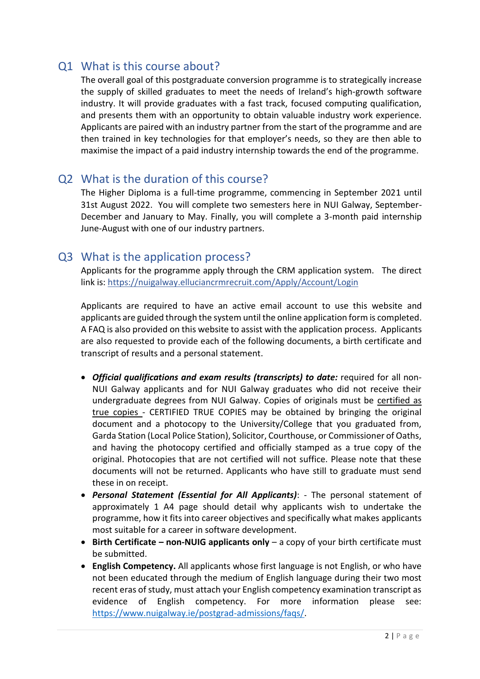## Q1 What is this course about?

The overall goal of this postgraduate conversion programme is to strategically increase the supply of skilled graduates to meet the needs of Ireland's high-growth software industry. It will provide graduates with a fast track, focused computing qualification, and presents them with an opportunity to obtain valuable industry work experience. Applicants are paired with an industry partner from the start of the programme and are then trained in key technologies for that employer's needs, so they are then able to maximise the impact of a paid industry internship towards the end of the programme.

## Q2 What is the duration of this course?

The Higher Diploma is a full-time programme, commencing in September 2021 until 31st August 2022. You will complete two semesters here in NUI Galway, September-December and January to May. Finally, you will complete a 3-month paid internship June-August with one of our industry partners.

#### Q3 What is the application process?

Applicants for the programme apply through the CRM application system. The direct link is[: https://nuigalway.elluciancrmrecruit.com/Apply/Account/Login](https://nuigalway.elluciancrmrecruit.com/Apply/Account/Login)

Applicants are required to have an active email account to use this website and applicants are guided through the system until the online application form is completed. A FAQ is also provided on this website to assist with the application process. Applicants are also requested to provide each of the following documents, a birth certificate and transcript of results and a personal statement.

- Official qualifications and exam results (transcripts) to date: required for all non-NUI Galway applicants and for NUI Galway graduates who did not receive their undergraduate degrees from NUI Galway. Copies of originals must be [certified as](http://www.pac.ie/pgrad/applications/certified.php) [true copies -](http://www.pac.ie/pgrad/applications/certified.php) CERTIFIED TRUE COPIES may be obtained by bringing the original document and a photocopy to the University/College that you graduated from, Garda Station (Local Police Station), Solicitor, Courthouse, or Commissioner of Oaths, and having the photocopy certified and officially stamped as a true copy of the original. Photocopies that are not certified will not suffice. Please note that these documents will not be returned. Applicants who have still to graduate must send these in on receipt.
- *Personal Statement (Essential for All Applicants)*: The personal statement of approximately 1 A4 page should detail why applicants wish to undertake the programme, how it fits into career objectives and specifically what makes applicants most suitable for a career in software development.
- **Birth Certificate – non-NUIG applicants only** a copy of your birth certificate must be submitted.
- **English Competency.** All applicants whose first language is not English, or who have not been educated through the medium of English language during their two most recent eras of study, must attach your English competency examination transcript as evidence of English competency. For more information please see: [https://www.nuigalway.ie/postgrad-admissions/faqs/.](https://www.nuigalway.ie/postgrad-admissions/faqs/)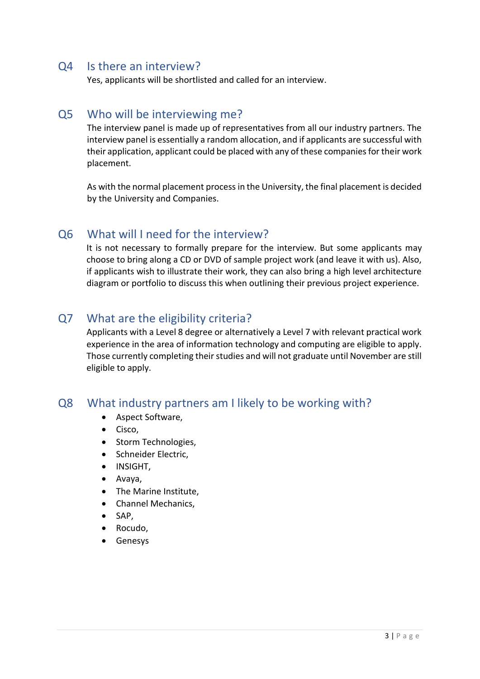#### Q4 Is there an interview?

Yes, applicants will be shortlisted and called for an interview.

#### Q5 Who will be interviewing me?

The interview panel is made up of representatives from all our industry partners. The interview panel is essentially a random allocation, and if applicants are successful with their application, applicant could be placed with any of these companies for their work placement.

As with the normal placement process in the University, the final placement is decided by the University and Companies.

#### Q6 What will I need for the interview?

It is not necessary to formally prepare for the interview. But some applicants may choose to bring along a CD or DVD of sample project work (and leave it with us). Also, if applicants wish to illustrate their work, they can also bring a high level architecture diagram or portfolio to discuss this when outlining their previous project experience.

## Q7 What are the eligibility criteria?

Applicants with a Level 8 degree or alternatively a Level 7 with relevant practical work experience in the area of information technology and computing are eligible to apply. Those currently completing their studies and will not graduate until November are still eligible to apply.

#### Q8 What industry partners am I likely to be working with?

- Aspect Software,
- Cisco.
- Storm Technologies,
- Schneider Electric,
- INSIGHT,
- Avaya,
- The Marine Institute,
- Channel Mechanics,
- $\bullet$  SAP,
- Rocudo,
- Genesys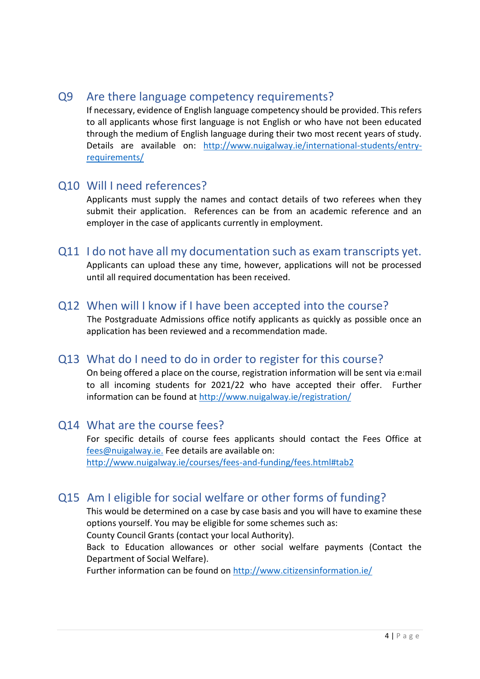#### Q9 Are there language competency requirements?

If necessary, evidence of English language competency should be provided. This refers to all applicants whose first language is not English or who have not been educated through the medium of English language during their two most recent years of study. Details are available on: [http://www.nuigalway.ie/international-students/entry](http://www.nuigalway.ie/international-students/entry-requirements/)[requirements/](http://www.nuigalway.ie/international-students/entry-requirements/)

#### Q10 Will I need references?

Applicants must supply the names and contact details of two referees when they submit their application. References can be from an academic reference and an employer in the case of applicants currently in employment.

# Q11 I do not have all my documentation such as exam transcripts yet.

Applicants can upload these any time, however, applications will not be processed until all required documentation has been received.

#### Q12 When will I know if I have been accepted into the course?

The Postgraduate Admissions office notify applicants as quickly as possible once an application has been reviewed and a recommendation made.

## Q13 What do I need to do in order to register for this course?

On being offered a place on the course, registration information will be sent via e:mail to all incoming students for 2021/22 who have accepted their offer. Further information can be found at<http://www.nuigalway.ie/registration/>

#### Q14 What are the course fees?

For specific details of course fees applicants should contact the Fees Office at [fees@nuigalway.ie.](mailto:fees@nuigalway.ie) Fee details are available on: <http://www.nuigalway.ie/courses/fees-and-funding/fees.html#tab2>

## Q15 Am I eligible for social welfare or other forms of funding?

This would be determined on a case by case basis and you will have to examine these options yourself. You may be eligible for some schemes such as:

County Council Grants (contact your local Authority).

Back to Education allowances or other social welfare payments (Contact the Department of Social Welfare).

Further information can be found on<http://www.citizensinformation.ie/>